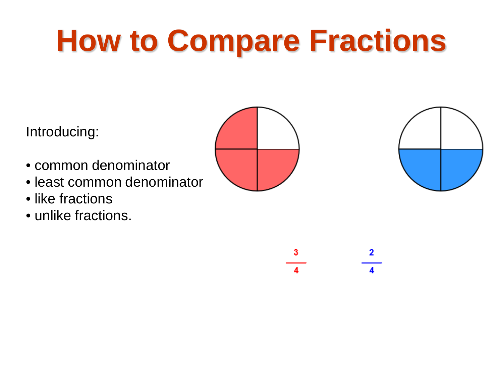# **How to Compare Fractions**

Introducing:

- common denominator
- least common denominator
- like fractions
- unlike fractions.





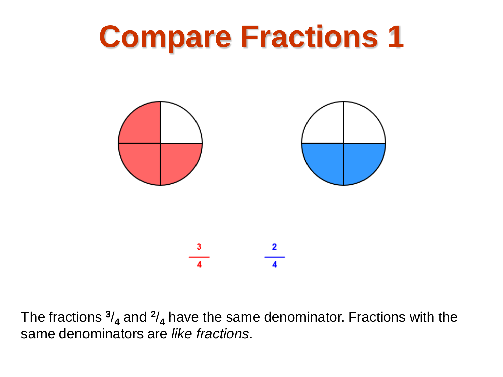

The fractions **<sup>3</sup>**/**<sup>4</sup>** and **<sup>2</sup>**/**<sup>4</sup>** have the same denominator. Fractions with the same denominators are *like fractions*.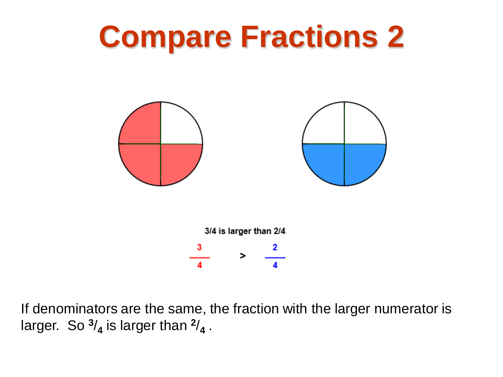

If denominators are the same, the fraction with the larger numerator is larger. So  $\frac{3}{4}$  is larger than  $\frac{2}{4}$ .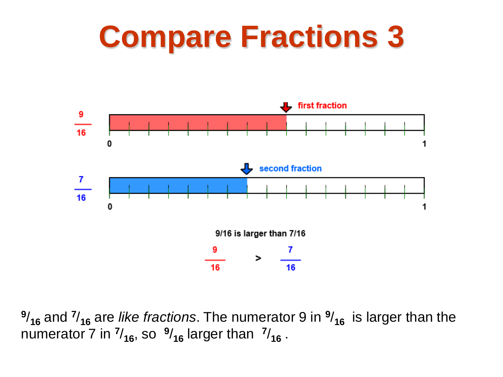

**<sup>9</sup>**/**<sup>16</sup>** and **<sup>7</sup>**/**<sup>16</sup>** are *like fractions*. The numerator 9 in **<sup>9</sup>**/**16** is larger than the numerator 7 in  $\frac{7}{16}$ , so  $\frac{9}{16}$  larger than  $\frac{7}{16}$ .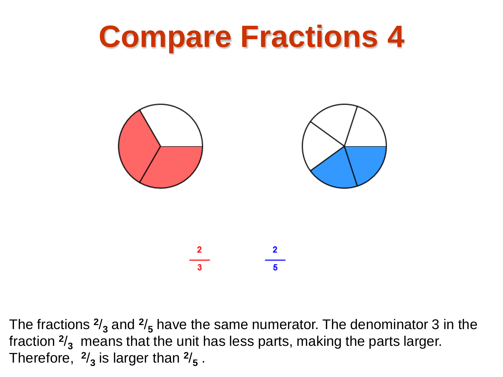

The fractions **<sup>2</sup>**/**<sup>3</sup>** and **<sup>2</sup>**/**<sup>5</sup>** have the same numerator. The denominator 3 in the fraction  $\frac{2}{3}$  means that the unit has less parts, making the parts larger. Therefore,  $\frac{2}{3}$  is larger than  $\frac{2}{5}$ .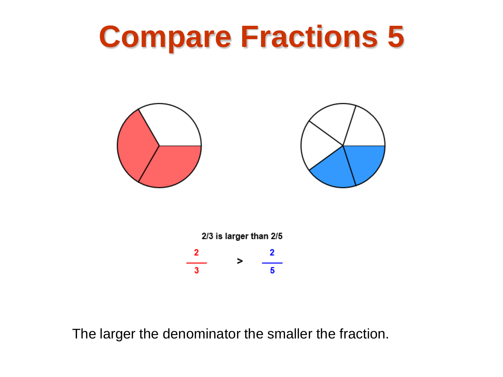





The larger the denominator the smaller the fraction.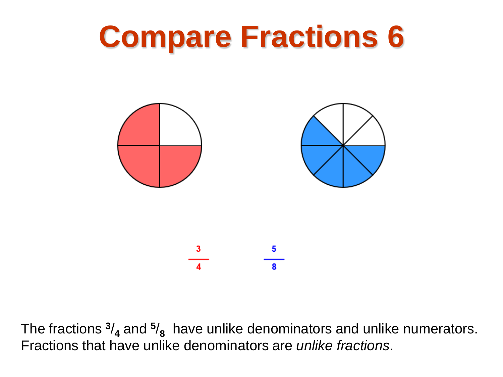

The fractions  $\frac{3}{4}$  and  $\frac{5}{8}$  have unlike denominators and unlike numerators. Fractions that have unlike denominators are *unlike fractions*.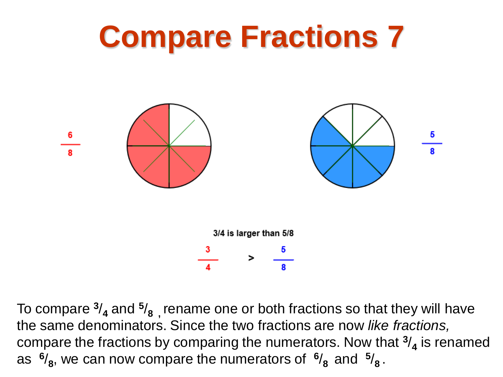

To compare **<sup>3</sup>**/**<sup>4</sup>** and **<sup>5</sup>**/**8 ,** rename one or both fractions so that they will have the same denominators. Since the two fractions are now *like fractions,*  compare the fractions by comparing the numerators. Now that **<sup>3</sup>**/**<sup>4</sup>** is renamed as  $\frac{6}{8}$ , we can now compare the numerators of  $\frac{6}{8}$  and  $\frac{5}{8}$ .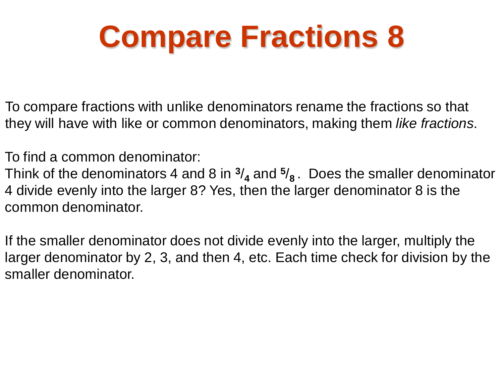To compare fractions with unlike denominators rename the fractions so that they will have with like or common denominators, making them *like fractions*.

To find a common denominator:

Think of the denominators 4 and 8 in **<sup>3</sup>**/**<sup>4</sup>** and **<sup>5</sup>**/**8** . Does the smaller denominator 4 divide evenly into the larger 8? Yes, then the larger denominator 8 is the common denominator.

If the smaller denominator does not divide evenly into the larger, multiply the larger denominator by 2, 3, and then 4, etc. Each time check for division by the smaller denominator.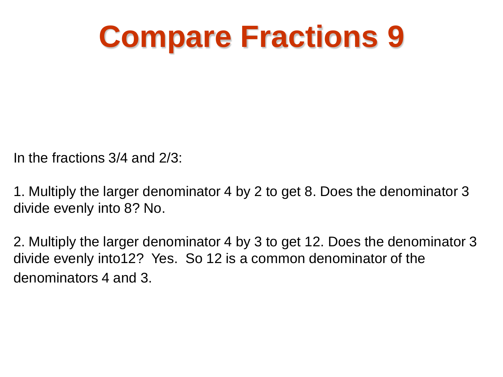In the fractions 3/4 and 2/3:

1. Multiply the larger denominator 4 by 2 to get 8. Does the denominator 3 divide evenly into 8? No.

2. Multiply the larger denominator 4 by 3 to get 12. Does the denominator 3 divide evenly into12? Yes. So 12 is a common denominator of the denominators 4 and 3.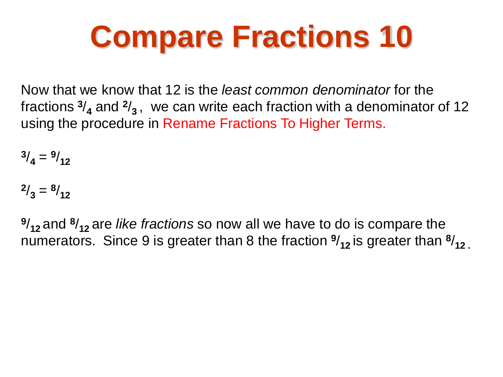Now that we know that 12 is the *least common denominator* for the fractions  $\frac{3}{4}$  and  $\frac{2}{3}$ , we can write each fraction with a denominator of 12 using the procedure in Rename Fractions To Higher Terms.

 $\frac{3}{4} = \frac{9}{12}$ 

 $\frac{2}{3} = \frac{8}{12}$ 

**<sup>9</sup>**/**12** and **<sup>8</sup>**/**12** are *like fractions* so now all we have to do is compare the numerators. Since 9 is greater than 8 the fraction **<sup>9</sup>**/**12** is greater than **<sup>8</sup>**/**12 .**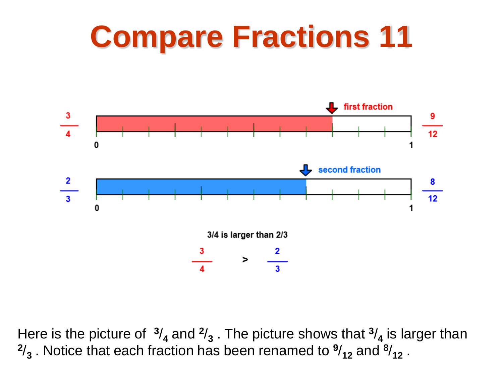

Here is the picture of  $\frac{3}{4}$  and  $\frac{2}{3}$ . The picture shows that  $\frac{3}{4}$  is larger than  $\frac{2}{3}$ . Notice that each fraction has been renamed to  $\frac{9}{12}$  and  $\frac{8}{12}$ .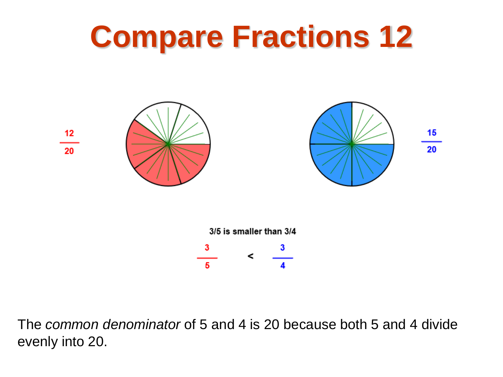

The *common denominator* of 5 and 4 is 20 because both 5 and 4 divide evenly into 20.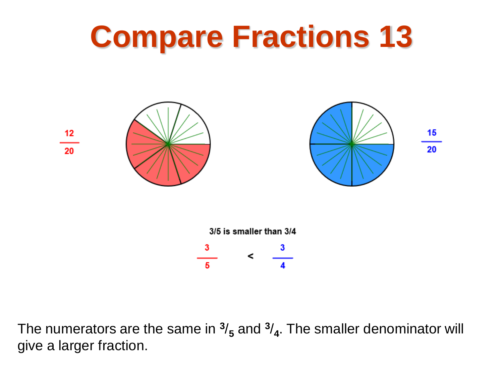

The numerators are the same in  $\frac{3}{5}$  and  $\frac{3}{4}$ . The smaller denominator will give a larger fraction.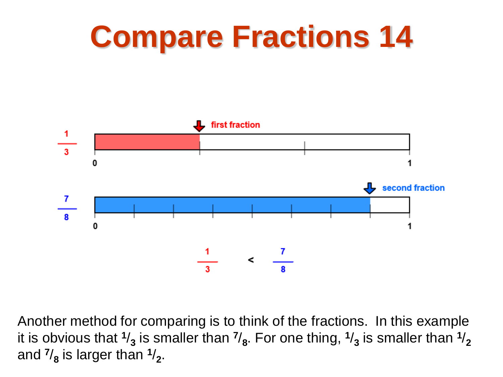

Another method for comparing is to think of the fractions. In this example it is obvious that  $\frac{1}{3}$  is smaller than  $\frac{7}{8}$ . For one thing,  $\frac{1}{3}$  is smaller than  $\frac{1}{2}$ and  $\frac{7}{8}$  is larger than  $\frac{1}{2}$ .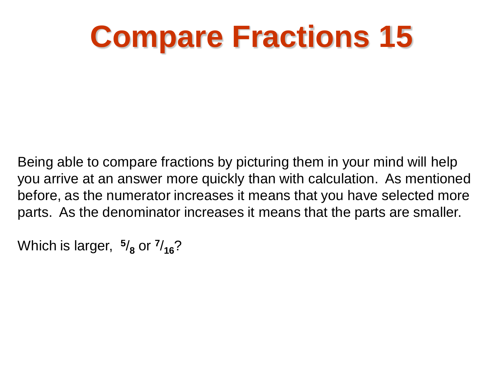Being able to compare fractions by picturing them in your mind will help you arrive at an answer more quickly than with calculation. As mentioned before, as the numerator increases it means that you have selected more parts. As the denominator increases it means that the parts are smaller.

Which is larger, **<sup>5</sup>**/**<sup>8</sup>** or **<sup>7</sup>**/**16**?